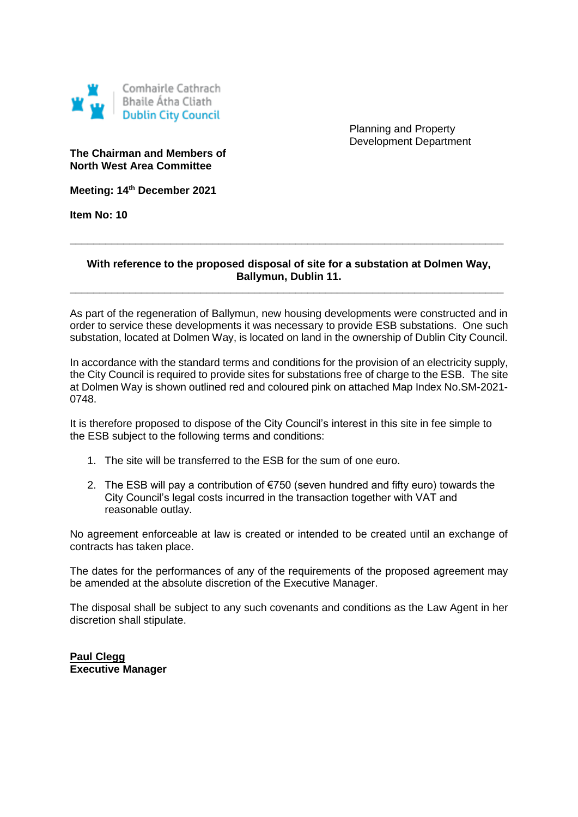

Planning and Property Development Department

## **The Chairman and Members of North West Area Committee**

**Meeting: 14th December 2021**

**Item No: 10**

## **With reference to the proposed disposal of site for a substation at Dolmen Way, Ballymun, Dublin 11.**

**\_\_\_\_\_\_\_\_\_\_\_\_\_\_\_\_\_\_\_\_\_\_\_\_\_\_\_\_\_\_\_\_\_\_\_\_\_\_\_\_\_\_\_\_\_\_\_\_\_\_\_\_\_\_\_\_\_\_\_\_\_\_\_\_\_\_\_\_\_\_\_\_\_**

**\_\_\_\_\_\_\_\_\_\_\_\_\_\_\_\_\_\_\_\_\_\_\_\_\_\_\_\_\_\_\_\_\_\_\_\_\_\_\_\_\_\_\_\_\_\_\_\_\_\_\_\_\_\_\_\_\_\_\_\_\_\_\_\_\_\_\_\_\_\_\_\_\_**

As part of the regeneration of Ballymun, new housing developments were constructed and in order to service these developments it was necessary to provide ESB substations. One such substation, located at Dolmen Way, is located on land in the ownership of Dublin City Council.

In accordance with the standard terms and conditions for the provision of an electricity supply, the City Council is required to provide sites for substations free of charge to the ESB. The site at Dolmen Way is shown outlined red and coloured pink on attached Map Index No.SM-2021- 0748.

It is therefore proposed to dispose of the City Council's interest in this site in fee simple to the ESB subject to the following terms and conditions:

- 1. The site will be transferred to the ESB for the sum of one euro.
- 2. The ESB will pay a contribution of €750 (seven hundred and fifty euro) towards the City Council's legal costs incurred in the transaction together with VAT and reasonable outlay.

No agreement enforceable at law is created or intended to be created until an exchange of contracts has taken place.

The dates for the performances of any of the requirements of the proposed agreement may be amended at the absolute discretion of the Executive Manager.

The disposal shall be subject to any such covenants and conditions as the Law Agent in her discretion shall stipulate.

**Paul Clegg Executive Manager**